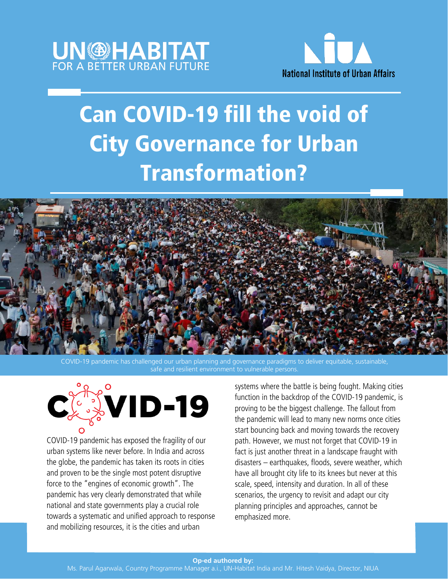



# Can COVID-19 fill the void of City Governance for Urban Transformation?



challenged our urban planning and governance paradigms to deliver equitable, sustainable safe and resilient environment to vulnerable persons.



COVID-19 pandemic has exposed the fragility of our urban systems like never before. In India and across the globe, the pandemic has taken its roots in cities and proven to be the single most potent disruptive force to the "engines of economic growth". The pandemic has very clearly demonstrated that while national and state governments play a crucial role towards a systematic and unified approach to response and mobilizing resources, it is the cities and urban

systems where the battle is being fought. Making cities function in the backdrop of the COVID-19 pandemic, is proving to be the biggest challenge. The fallout from the pandemic will lead to many new norms once cities start bouncing back and moving towards the recovery path. However, we must not forget that COVID-19 in fact is just another threat in a landscape fraught with disasters – earthquakes, floods, severe weather, which have all brought city life to its knees but never at this scale, speed, intensity and duration. In all of these scenarios, the urgency to revisit and adapt our city planning principles and approaches, cannot be emphasized more.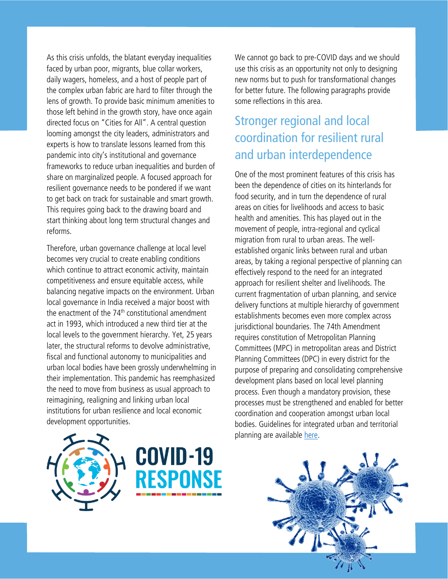As this crisis unfolds, the blatant everyday inequalities faced by urban poor, migrants, blue collar workers, daily wagers, homeless, and a host of people part of the complex urban fabric are hard to filter through the lens of growth. To provide basic minimum amenities to those left behind in the growth story, have once again directed focus on "Cities for All". A central question looming amongst the city leaders, administrators and experts is how to translate lessons learned from this pandemic into city's institutional and governance frameworks to reduce urban inequalities and burden of share on marginalized people. A focused approach for resilient governance needs to be pondered if we want to get back on track for sustainable and smart growth. This requires going back to the drawing board and start thinking about long term structural changes and reforms.

Therefore, urban governance challenge at local level becomes very crucial to create enabling conditions which continue to attract economic activity, maintain competitiveness and ensure equitable access, while balancing negative impacts on the environment. Urban local governance in India received a major boost with the enactment of the  $74<sup>th</sup>$  constitutional amendment act in 1993, which introduced a new third tier at the local levels to the government hierarchy. Yet, 25 years later, the structural reforms to devolve administrative, fiscal and functional autonomy to municipalities and urban local bodies have been grossly underwhelming in their implementation. This pandemic has reemphasized the need to move from business as usual approach to reimagining, realigning and linking urban local institutions for urban resilience and local economic development opportunities.





We cannot go back to pre-COVID days and we should use this crisis as an opportunity not only to designing new norms but to push for transformational changes for better future. The following paragraphs provide some reflections in this area.

## Stronger regional and local coordination for resilient rural and urban interdependence

One of the most prominent features of this crisis has been the dependence of cities on its hinterlands for food security, and in turn the dependence of rural areas on cities for livelihoods and access to basic health and amenities. This has played out in the movement of people, intra-regional and cyclical migration from rural to urban areas. The wellestablished organic links between rural and urban areas, by taking a regional perspective of planning can effectively respond to the need for an integrated approach for resilient shelter and livelihoods. The current fragmentation of urban planning, and service delivery functions at multiple hierarchy of government establishments becomes even more complex across jurisdictional boundaries. The 74th Amendment requires constitution of Metropolitan Planning Committees (MPC) in metropolitan areas and District Planning Committees (DPC) in every district for the purpose of preparing and consolidating comprehensive development plans based on local level planning process. Even though a mandatory provision, these processes must be strengthened and enabled for better coordination and cooperation amongst urban local bodies. Guidelines for integrated urban and territorial planning are available [here.](https://www.uclg.org/sites/default/files/ig-utp_english.pdf)

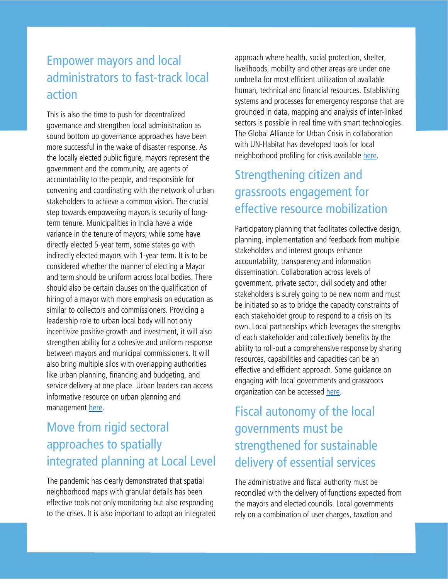#### Empower mayors and local administrators to fast-track local action

This is also the time to push for decentralized governance and strengthen local administration as sound bottom up governance approaches have been more successful in the wake of disaster response. As the locally elected public figure, mayors represent the government and the community, are agents of accountability to the people, and responsible for convening and coordinating with the network of urban stakeholders to achieve a common vision. The crucial step towards empowering mayors is security of longterm tenure. Municipalities in India have a wide variance in the tenure of mayors; while some have directly elected 5-year term, some states go with indirectly elected mayors with 1-year term. It is to be considered whether the manner of electing a Mayor and term should be uniform across local bodies. There should also be certain clauses on the qualification of hiring of a mayor with more emphasis on education as similar to collectors and commissioners. Providing a leadership role to urban local body will not only incentivize positive growth and investment, it will also strengthen ability for a cohesive and uniform response between mayors and municipal commissioners. It will also bring multiple silos with overlapping authorities like urban planning, financing and budgeting, and service delivery at one place. Urban leaders can access informative resource on urban planning and management [here.](http://unhabitat.org.mm/wp-content/uploads/2018/06/UN-Habitat-UPCL_English.pdf)

### Move from rigid sectoral approaches to spatially integrated planning at Local Level

The pandemic has clearly demonstrated that spatial neighborhood maps with granular details has been effective tools not only monitoring but also responding to the crises. It is also important to adopt an integrated

approach where health, social protection, shelter, livelihoods, mobility and other areas are under one umbrella for most efficient utilization of available human, technical and financial resources. Establishing systems and processes for emergency response that are grounded in data, mapping and analysis of inter-linked sectors is possible in real time with smart technologies. The Global Alliance for Urban Crisis in collaboration with UN-Habitat has developed tools for local neighborhood profiling for crisis available [here.](http://urbancrises.org/)

### Strengthening citizen and grassroots engagement for effective resource mobilization

Participatory planning that facilitates collective design, planning, implementation and feedback from multiple stakeholders and interest groups enhance accountability, transparency and information dissemination. Collaboration across levels of government, private sector, civil society and other stakeholders is surely going to be new norm and must be initiated so as to bridge the capacity constraints of each stakeholder group to respond to a crisis on its own. Local partnerships which leverages the strengths of each stakeholder and collectively benefits by the ability to roll-out a comprehensive response by sharing resources, capabilities and capacities can be an effective and efficient approach. Some guidance on engaging with local governments and grassroots organization can be accessed [here.](http://urbancrises.org/wp-content/uploads/2019/02/5.-GUIDANCE-NOTE-Protocol-of-Engagement-Document-JD-060219.pdf)

## Fiscal autonomy of the local governments must be strengthened for sustainable delivery of essential services

The administrative and fiscal authority must be reconciled with the delivery of functions expected from the mayors and elected councils. Local governments rely on a combination of user charges, taxation and